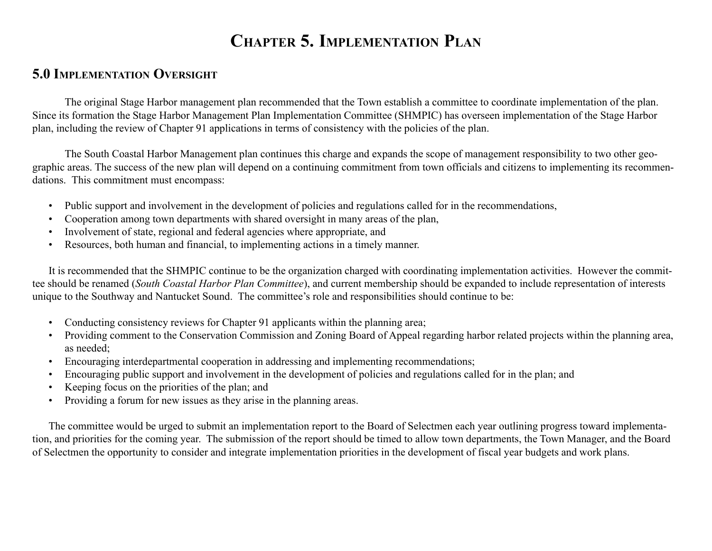# CHAPTER 5. IMPLEMENTATION PLAN

### 5.0 IMPLEMENTATION OVERSIGHT

The original Stage Harbor management plan recommended that the Town establish a committee to coordinate implementation of the plan. Since its formation the Stage Harbor Management Plan Implementation Committee (SHMPIC) has overseen implementation of the Stage Harbor plan, including the review of Chapter 91 applications in terms of consistency with the policies of the plan.

The South Coastal Harbor Management plan continues this charge and expands the scope of management responsibility to two other geographic areas. The success of the new plan will depend on a continuing commitment from town officials and citizens to implementing its recommendations. This commitment must encompass:

- Public support and involvement in the development of policies and regulations called for in the recommendations,
- Cooperation among town departments with shared oversight in many areas of the plan,
- Involvement of state, regional and federal agencies where appropriate, and
- ï Resources, both human and financial, to implementing actions in a timely manner.

It is recommended that the SHMPIC continue to be the organization charged with coordinating implementation activities. However the committee should be renamed (South Coastal Harbor Plan Committee), and current membership should be expanded to include representation of interests unique to the Southway and Nantucket Sound. The committee's role and responsibilities should continue to be:

- Conducting consistency reviews for Chapter 91 applicants within the planning area;
- Providing comment to the Conservation Commission and Zoning Board of Appeal regarding harbor related projects within the planning area, as needed;
- Encouraging interdepartmental cooperation in addressing and implementing recommendations;
- Encouraging public support and involvement in the development of policies and regulations called for in the plan; and
- Keeping focus on the priorities of the plan; and
- Providing a forum for new issues as they arise in the planning areas.

The committee would be urged to submit an implementation report to the Board of Selectmen each year outlining progress toward implementation, and priorities for the coming year. The submission of the report should be timed to allow town departments, the Town Manager, and the Board of Selectmen the opportunity to consider and integrate implementation priorities in the development of fiscal year budgets and work plans.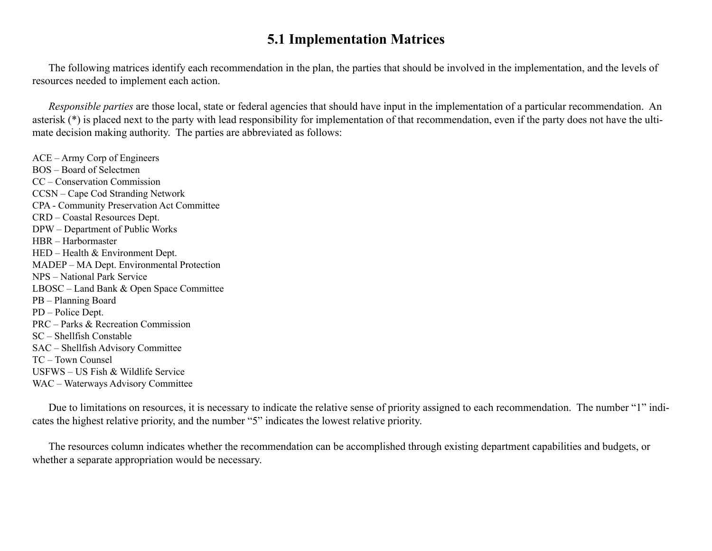#### 5.1 Implementation Matrices

The following matrices identify each recommendation in the plan, the parties that should be involved in the implementation, and the levels of resources needed to implement each action.

Responsible parties are those local, state or federal agencies that should have input in the implementation of a particular recommendation. An asterisk (\*) is placed next to the party with lead responsibility for implementation of that recommendation, even if the party does not have the ultimate decision making authority. The parties are abbreviated as follows:

 $ACE - Army Corp of Engineers$  $BOS - Board$  of Selectmen CC – Conservation Commission CCSN – Cape Cod Stranding Network CPA - Community Preservation Act Committee CRD – Coastal Resources Dept. DPW – Department of Public Works HBR - Harbormaster  $HED - Health & Environment Dept.$ MADEP – MA Dept. Environmental Protection NPS – National Park Service  $LBOSC - Land Bank & Open Space Committee$ PB - Planning Board PD – Police Dept.  $PRC - Parks & Recreation Commission$  $SC - Shellfish$  Constable SAC - Shellfish Advisory Committee  $TC$  – Town Counsel  $USFWS - US Fish & Wildlife Service$ WAC – Waterways Advisory Committee

Due to limitations on resources, it is necessary to indicate the relative sense of priority assigned to each recommendation. The number "1" indicates the highest relative priority, and the number "5" indicates the lowest relative priority.

The resources column indicates whether the recommendation can be accomplished through existing department capabilities and budgets, or whether a separate appropriation would be necessary.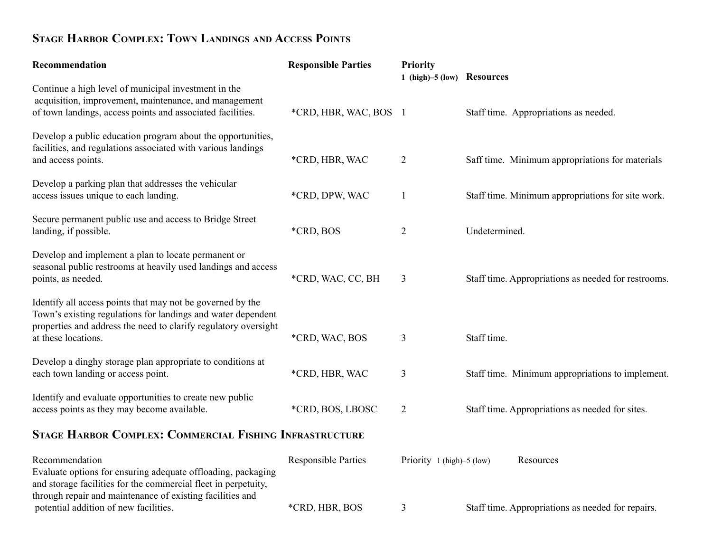# STAGE HARBOR COMPLEX: TOWN LANDINGS AND ACCESS POINTS

| Recommendation                                                                                                                                                                                                       | <b>Responsible Parties</b> | Priority<br>1 (high)-5 (low) Resources |                                                     |
|----------------------------------------------------------------------------------------------------------------------------------------------------------------------------------------------------------------------|----------------------------|----------------------------------------|-----------------------------------------------------|
| Continue a high level of municipal investment in the<br>acquisition, improvement, maintenance, and management<br>of town landings, access points and associated facilities.                                          | *CRD, HBR, WAC, BOS 1      |                                        | Staff time. Appropriations as needed.               |
| Develop a public education program about the opportunities,<br>facilities, and regulations associated with various landings<br>and access points.                                                                    | *CRD, HBR, WAC             | 2                                      | Saff time. Minimum appropriations for materials     |
| Develop a parking plan that addresses the vehicular<br>access issues unique to each landing.                                                                                                                         | *CRD, DPW, WAC             | $\mathbf{1}$                           | Staff time. Minimum appropriations for site work.   |
| Secure permanent public use and access to Bridge Street<br>landing, if possible.                                                                                                                                     | *CRD, BOS                  | $\overline{2}$                         | Undetermined.                                       |
| Develop and implement a plan to locate permanent or<br>seasonal public restrooms at heavily used landings and access<br>points, as needed.                                                                           | *CRD, WAC, CC, BH          | 3                                      | Staff time. Appropriations as needed for restrooms. |
| Identify all access points that may not be governed by the<br>Town's existing regulations for landings and water dependent<br>properties and address the need to clarify regulatory oversight<br>at these locations. | *CRD, WAC, BOS             | 3                                      | Staff time.                                         |
| Develop a dinghy storage plan appropriate to conditions at<br>each town landing or access point.                                                                                                                     | *CRD, HBR, WAC             | $\mathfrak{Z}$                         | Staff time. Minimum appropriations to implement.    |
| Identify and evaluate opportunities to create new public<br>access points as they may become available.                                                                                                              | *CRD, BOS, LBOSC           | $\overline{2}$                         | Staff time. Appropriations as needed for sites.     |
| <b>STAGE HARBOR COMPLEX: COMMERCIAL FISHING INFRASTRUCTURE</b>                                                                                                                                                       |                            |                                        |                                                     |
| Recommendation<br>Evaluate options for ensuring adequate offloading, packaging<br>and storage facilities for the commercial fleet in perpetuity,<br>through repair and maintenance of existing facilities and        | <b>Responsible Parties</b> | Priority 1 (high)-5 (low)              | Resources                                           |
| potential addition of new facilities.                                                                                                                                                                                | *CRD, HBR, BOS             | 3                                      | Staff time. Appropriations as needed for repairs.   |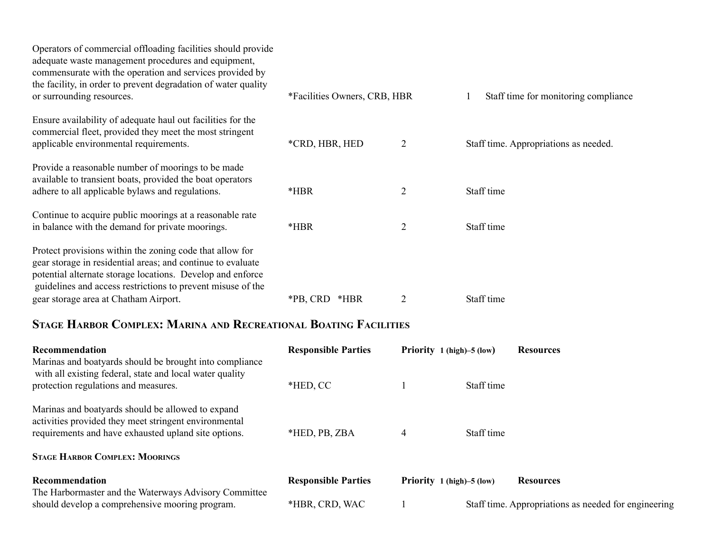| Operators of commercial offloading facilities should provide<br>adequate waste management procedures and equipment,<br>commensurate with the operation and services provided by<br>the facility, in order to prevent degradation of water quality    |                              |                |                                       |
|------------------------------------------------------------------------------------------------------------------------------------------------------------------------------------------------------------------------------------------------------|------------------------------|----------------|---------------------------------------|
| or surrounding resources.                                                                                                                                                                                                                            | *Facilities Owners, CRB, HBR |                | Staff time for monitoring compliance  |
| Ensure availability of adequate haul out facilities for the<br>commercial fleet, provided they meet the most stringent<br>applicable environmental requirements.                                                                                     | *CRD, HBR, HED               | $\overline{2}$ | Staff time. Appropriations as needed. |
| Provide a reasonable number of moorings to be made<br>available to transient boats, provided the boat operators<br>adhere to all applicable bylaws and regulations.                                                                                  | $*HBR$                       | $\overline{2}$ | Staff time                            |
| Continue to acquire public moorings at a reasonable rate<br>in balance with the demand for private moorings.                                                                                                                                         | *HBR                         | 2              | Staff time                            |
| Protect provisions within the zoning code that allow for<br>gear storage in residential areas; and continue to evaluate<br>potential alternate storage locations. Develop and enforce<br>guidelines and access restrictions to prevent misuse of the |                              |                |                                       |
| gear storage area at Chatham Airport.                                                                                                                                                                                                                | *PB, CRD *HBR                |                | Staff time                            |

### STAGE HARBOR COMPLEX: MARINA AND RECREATIONAL BOATING FACILITIES

| <b>Recommendation</b><br>Marinas and boatyards should be brought into compliance<br>with all existing federal, state and local water quality                       | <b>Responsible Parties</b> | Priority 1 (high)–5 (low) |            | <b>Resources</b>                                     |
|--------------------------------------------------------------------------------------------------------------------------------------------------------------------|----------------------------|---------------------------|------------|------------------------------------------------------|
| protection regulations and measures.                                                                                                                               | *HED, CC                   |                           | Staff time |                                                      |
| Marinas and boatyards should be allowed to expand<br>activities provided they meet stringent environmental<br>requirements and have exhausted upland site options. | *HED, PB, ZBA              | $\overline{4}$            | Staff time |                                                      |
| <b>STAGE HARBOR COMPLEX: MOORINGS</b>                                                                                                                              |                            |                           |            |                                                      |
| Recommendation<br>The Harbormaster and the Waterways Advisory Committee                                                                                            | <b>Responsible Parties</b> | Priority 1 (high)–5 (low) |            | <b>Resources</b>                                     |
| should develop a comprehensive mooring program.                                                                                                                    | *HBR, CRD, WAC             |                           |            | Staff time. Appropriations as needed for engineering |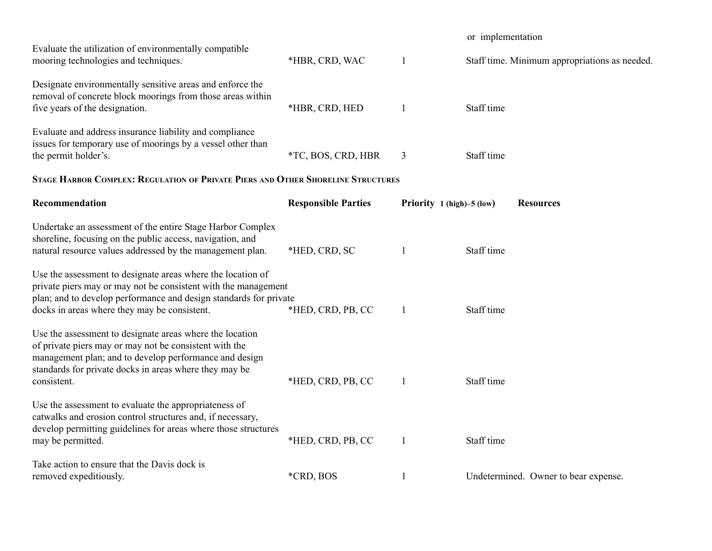|                                                                                                                                                                                                                                                       |                            |                           | or implementation                             |
|-------------------------------------------------------------------------------------------------------------------------------------------------------------------------------------------------------------------------------------------------------|----------------------------|---------------------------|-----------------------------------------------|
| Evaluate the utilization of environmentally compatible<br>mooring technologies and techniques.                                                                                                                                                        | *HBR, CRD, WAC             | $\mathbf{1}$              | Staff time. Minimum appropriations as needed. |
| Designate environmentally sensitive areas and enforce the<br>removal of concrete block moorings from those areas within<br>five years of the designation.                                                                                             | *HBR, CRD, HED             | $\overline{1}$            | Staff time                                    |
| Evaluate and address insurance liability and compliance<br>issues for temporary use of moorings by a vessel other than<br>the permit holder's.                                                                                                        | *TC, BOS, CRD, HBR         | 3                         | Staff time                                    |
| STAGE HARBOR COMPLEX: REGULATION OF PRIVATE PIERS AND OTHER SHORELINE STRUCTURES                                                                                                                                                                      |                            |                           |                                               |
| Recommendation                                                                                                                                                                                                                                        | <b>Responsible Parties</b> | Priority 1 (high)-5 (low) | <b>Resources</b>                              |
| Undertake an assessment of the entire Stage Harbor Complex<br>shoreline, focusing on the public access, navigation, and<br>natural resource values addressed by the management plan.                                                                  | *HED, CRD, SC              | $\mathbf{1}$              | Staff time                                    |
| Use the assessment to designate areas where the location of<br>private piers may or may not be consistent with the management<br>plan; and to develop performance and design standards for private<br>docks in areas where they may be consistent.    | *HED, CRD, PB, CC          | $\mathbf{1}$              | Staff time                                    |
| Use the assessment to designate areas where the location<br>of private piers may or may not be consistent with the<br>management plan; and to develop performance and design<br>standards for private docks in areas where they may be<br>consistent. | *HED, CRD, PB, CC          | $\overline{1}$            | Staff time                                    |
| Use the assessment to evaluate the appropriateness of<br>catwalks and erosion control structures and, if necessary,<br>develop permitting guidelines for areas where those structures<br>may be permitted.                                            | *HED, CRD, PB, CC          | $\overline{1}$            | Staff time                                    |
| Take action to ensure that the Davis dock is<br>removed expeditiously.                                                                                                                                                                                | *CRD, BOS                  | $\mathbf{1}$              | Undetermined. Owner to bear expense.          |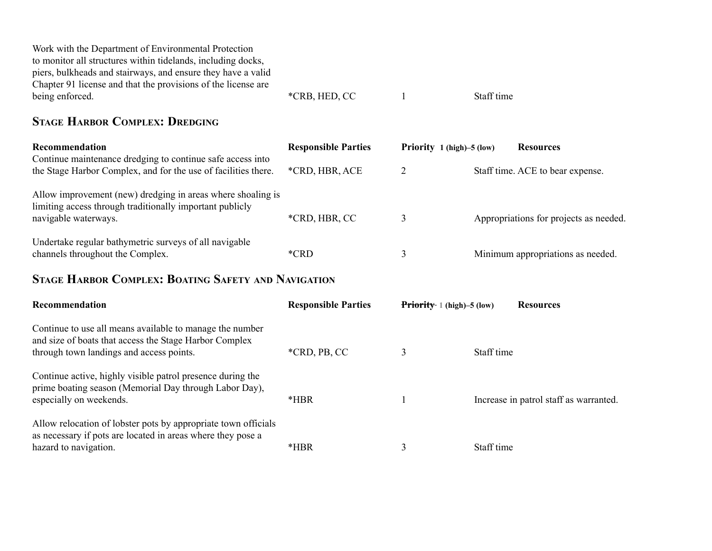| Work with the Department of Environmental Protection          |               |            |
|---------------------------------------------------------------|---------------|------------|
| to monitor all structures within tidelands, including docks,  |               |            |
| piers, bulkheads and stairways, and ensure they have a valid  |               |            |
| Chapter 91 license and that the provisions of the license are |               |            |
| being enforced.                                               | *CRB, HED, CC | Staff time |

#### STAGE HARBOR COMPLEX: DREDGING

| Recommendation                                                                                                                                  | <b>Responsible Parties</b> | Priority 1 (high)-5 (low) | <b>Resources</b>                       |
|-------------------------------------------------------------------------------------------------------------------------------------------------|----------------------------|---------------------------|----------------------------------------|
| Continue maintenance dredging to continue safe access into<br>the Stage Harbor Complex, and for the use of facilities there.                    | *CRD, HBR, ACE             |                           | Staff time. ACE to bear expense.       |
| Allow improvement (new) dredging in areas where shoaling is<br>limiting access through traditionally important publicly<br>navigable waterways. | *CRD, HBR, CC              |                           | Appropriations for projects as needed. |
| Undertake regular bathymetric surveys of all navigable<br>channels throughout the Complex.                                                      | *CRD                       |                           | Minimum appropriations as needed.      |

#### STAGE HARBOR COMPLEX: BOATING SAFETY AND NAVIGATION

| <b>Recommendation</b>                                                                                                                                          | <b>Responsible Parties</b> | <b>Priority</b> 1 (high) $-5$ (low) |            | <b>Resources</b>                       |
|----------------------------------------------------------------------------------------------------------------------------------------------------------------|----------------------------|-------------------------------------|------------|----------------------------------------|
| Continue to use all means available to manage the number<br>and size of boats that access the Stage Harbor Complex<br>through town landings and access points. | *CRD, PB, CC               | 3                                   | Staff time |                                        |
| Continue active, highly visible patrol presence during the<br>prime boating season (Memorial Day through Labor Day),<br>especially on weekends.                | *HBR                       |                                     |            | Increase in patrol staff as warranted. |
| Allow relocation of lobster pots by appropriate town officials<br>as necessary if pots are located in areas where they pose a<br>hazard to navigation.         | $*HBR$                     |                                     | Staff time |                                        |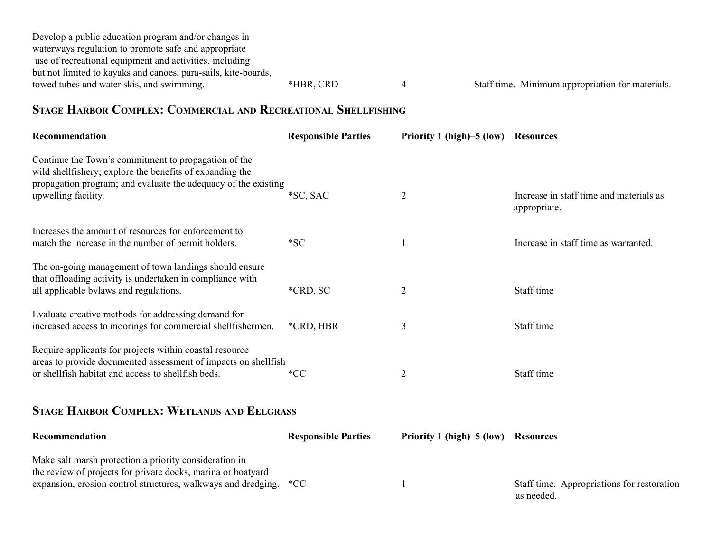| Develop a public education program and/or changes in           |           |                                                  |
|----------------------------------------------------------------|-----------|--------------------------------------------------|
| waterways regulation to promote safe and appropriate           |           |                                                  |
| use of recreational equipment and activities, including        |           |                                                  |
| but not limited to kayaks and canoes, para-sails, kite-boards, |           |                                                  |
| towed tubes and water skis, and swimming.                      | *HBR, CRD | Staff time. Minimum appropriation for materials. |

### STAGE HARBOR COMPLEX: COMMERCIAL AND RECREATIONAL SHELLFISHING

| Recommendation                                                                                                                                                                                             | <b>Responsible Parties</b> | Priority 1 (high)–5 (low) | <b>Resources</b>                                         |
|------------------------------------------------------------------------------------------------------------------------------------------------------------------------------------------------------------|----------------------------|---------------------------|----------------------------------------------------------|
| Continue the Town's commitment to propagation of the<br>wild shell fishery; explore the benefits of expanding the<br>propagation program; and evaluate the adequacy of the existing<br>upwelling facility. | *SC, SAC                   | $\overline{2}$            | Increase in staff time and materials as<br>appropriate.  |
| Increases the amount of resources for enforcement to<br>match the increase in the number of permit holders.                                                                                                | $*SC$                      |                           | Increase in staff time as warranted.                     |
| The on-going management of town landings should ensure<br>that offloading activity is undertaken in compliance with<br>all applicable bylaws and regulations.                                              | *CRD, SC                   | $\overline{2}$            | Staff time                                               |
| Evaluate creative methods for addressing demand for<br>increased access to moorings for commercial shellfishermen.                                                                                         | *CRD, HBR                  | 3                         | Staff time                                               |
| Require applicants for projects within coastal resource<br>areas to provide documented assessment of impacts on shellfish<br>or shellfish habitat and access to shellfish beds.                            | $*CC$                      | $\overline{2}$            | Staff time                                               |
| <b>STAGE HARBOR COMPLEX: WETLANDS AND EELGRASS</b>                                                                                                                                                         |                            |                           |                                                          |
| Recommendation                                                                                                                                                                                             | <b>Responsible Parties</b> | Priority 1 (high)–5 (low) | <b>Resources</b>                                         |
| Make salt marsh protection a priority consideration in<br>the review of projects for private docks, marina or boatyard<br>expansion, erosion control structures, walkways and dredging.                    | $*CC$                      |                           | Staff time. Appropriations for restoration<br>as needed. |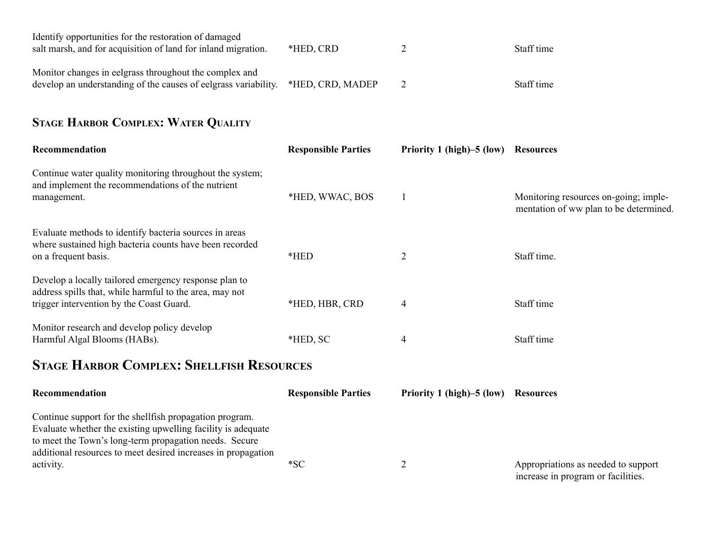| Identify opportunities for the restoration of damaged<br>salt marsh, and for acquisition of land for inland migration.    | *HED, CRD        | Staff time |
|---------------------------------------------------------------------------------------------------------------------------|------------------|------------|
| Monitor changes in eelgrass throughout the complex and<br>develop an understanding of the causes of eelgrass variability. | *HED, CRD, MADEP | Staff time |

# STAGE HARBOR COMPLEX: WATER QUALITY

| Recommendation                                                                                                                                               | <b>Responsible Parties</b> | Priority 1 (high)–5 (low) | <b>Resources</b>                                                                |  |  |
|--------------------------------------------------------------------------------------------------------------------------------------------------------------|----------------------------|---------------------------|---------------------------------------------------------------------------------|--|--|
| Continue water quality monitoring throughout the system;<br>and implement the recommendations of the nutrient<br>management.                                 | *HED, WWAC, BOS            |                           | Monitoring resources on-going; imple-<br>mentation of ww plan to be determined. |  |  |
| Evaluate methods to identify bacteria sources in areas<br>where sustained high bacteria counts have been recorded<br>on a frequent basis.                    | $*HED$                     | $\overline{2}$            | Staff time.                                                                     |  |  |
| Develop a locally tailored emergency response plan to<br>address spills that, while harmful to the area, may not<br>trigger intervention by the Coast Guard. | *HED, HBR, CRD             | 4                         | Staff time                                                                      |  |  |
| Monitor research and develop policy develop<br>Harmful Algal Blooms (HABs).                                                                                  | *HED, SC                   | $\overline{4}$            | Staff time                                                                      |  |  |
| <b>STAGE HARBOR COMPLEX: SHELLFISH RESOURCES</b>                                                                                                             |                            |                           |                                                                                 |  |  |

| <b>Recommendation</b>                                                                                                                                                                                                                                            | <b>Responsible Parties</b> | Priority 1 (high)–5 (low) | <b>Resources</b>                                                          |
|------------------------------------------------------------------------------------------------------------------------------------------------------------------------------------------------------------------------------------------------------------------|----------------------------|---------------------------|---------------------------------------------------------------------------|
| Continue support for the shell fish propagation program.<br>Evaluate whether the existing upwelling facility is adequate<br>to meet the Town's long-term propagation needs. Secure<br>additional resources to meet desired increases in propagation<br>activity. | $*SC$                      |                           | Appropriations as needed to support<br>increase in program or facilities. |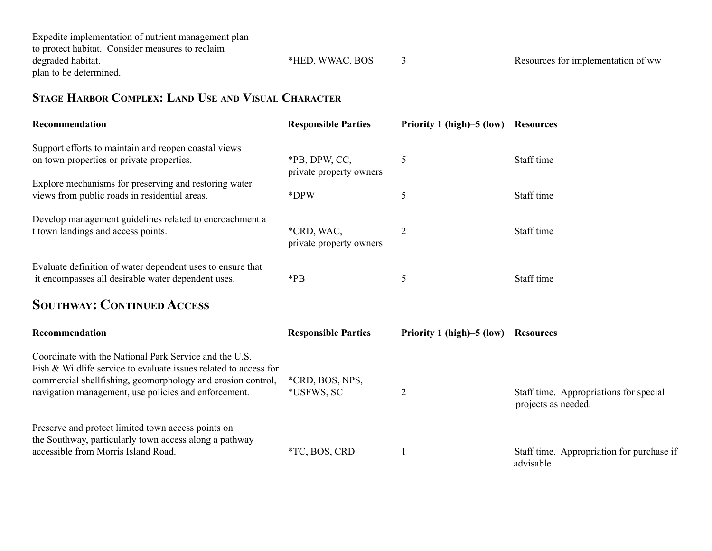| Expedite implementation of nutrient management plan |                 |                                    |
|-----------------------------------------------------|-----------------|------------------------------------|
| to protect habitat. Consider measures to reclaim    |                 |                                    |
| degraded habitat.                                   | *HED, WWAC, BOS | Resources for implementation of ww |
| plan to be determined.                              |                 |                                    |

### STAGE HARBOR COMPLEX: LAND USE AND VISUAL CHARACTER

| Recommendation                                                                                                                                                                                                                                    | <b>Responsible Parties</b>               | Priority 1 (high)–5 (low) | <b>Resources</b>                                              |
|---------------------------------------------------------------------------------------------------------------------------------------------------------------------------------------------------------------------------------------------------|------------------------------------------|---------------------------|---------------------------------------------------------------|
| Support efforts to maintain and reopen coastal views<br>on town properties or private properties.                                                                                                                                                 | *PB, DPW, CC,<br>private property owners | 5                         | Staff time                                                    |
| Explore mechanisms for preserving and restoring water<br>views from public roads in residential areas.                                                                                                                                            | *DPW                                     | 5                         | Staff time                                                    |
| Develop management guidelines related to encroachment a<br>t town landings and access points.                                                                                                                                                     | *CRD, WAC,<br>private property owners    | $\overline{c}$            | Staff time                                                    |
| Evaluate definition of water dependent uses to ensure that<br>it encompasses all desirable water dependent uses.                                                                                                                                  | $*$ PB                                   | 5                         | Staff time                                                    |
| <b>SOUTHWAY: CONTINUED ACCESS</b>                                                                                                                                                                                                                 |                                          |                           |                                                               |
| Recommendation                                                                                                                                                                                                                                    | <b>Responsible Parties</b>               | Priority 1 (high)–5 (low) | <b>Resources</b>                                              |
| Coordinate with the National Park Service and the U.S.<br>Fish & Wildlife service to evaluate issues related to access for<br>commercial shellfishing, geomorphology and erosion control,<br>navigation management, use policies and enforcement. | *CRD, BOS, NPS,<br>*USFWS, SC            | $\overline{2}$            | Staff time. Appropriations for special<br>projects as needed. |
| Preserve and protect limited town access points on<br>the Southway, particularly town access along a pathway<br>accessible from Morris Island Road.                                                                                               | *TC, BOS, CRD                            |                           | Staff time. Appropriation for purchase if<br>advisable        |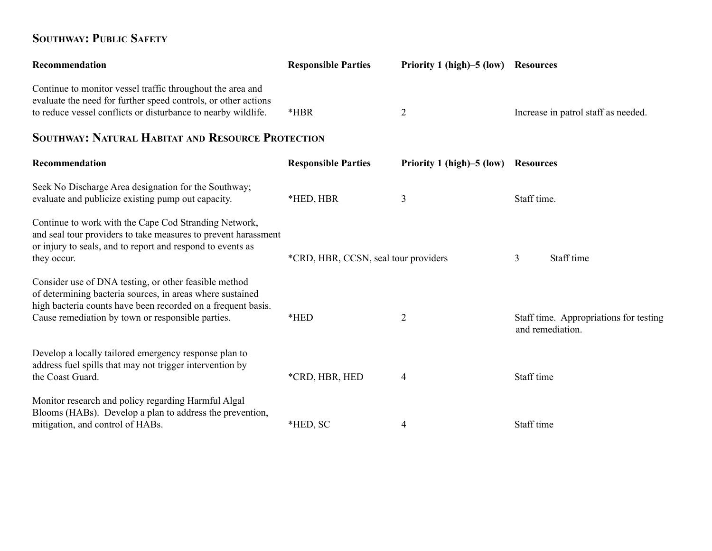#### SOUTHWAY: PUBLIC SAFETY

| Recommendation                                                                                                                                                                                                                          | <b>Responsible Parties</b>           | Priority 1 (high)–5 (low) | <b>Resources</b>                                           |
|-----------------------------------------------------------------------------------------------------------------------------------------------------------------------------------------------------------------------------------------|--------------------------------------|---------------------------|------------------------------------------------------------|
| Continue to monitor vessel traffic throughout the area and<br>evaluate the need for further speed controls, or other actions<br>to reduce vessel conflicts or disturbance to nearby wildlife.                                           | *HBR                                 | 2                         | Increase in patrol staff as needed.                        |
| <b>SOUTHWAY: NATURAL HABITAT AND RESOURCE PROTECTION</b>                                                                                                                                                                                |                                      |                           |                                                            |
| Recommendation                                                                                                                                                                                                                          | <b>Responsible Parties</b>           | Priority 1 (high)–5 (low) | <b>Resources</b>                                           |
| Seek No Discharge Area designation for the Southway;<br>evaluate and publicize existing pump out capacity.                                                                                                                              | *HED, HBR                            | 3                         | Staff time.                                                |
| Continue to work with the Cape Cod Stranding Network,<br>and seal tour providers to take measures to prevent harassment<br>or injury to seals, and to report and respond to events as<br>they occur.                                    | *CRD, HBR, CCSN, seal tour providers |                           | Staff time<br>3                                            |
| Consider use of DNA testing, or other feasible method<br>of determining bacteria sources, in areas where sustained<br>high bacteria counts have been recorded on a frequent basis.<br>Cause remediation by town or responsible parties. | *HED                                 | $\overline{2}$            | Staff time. Appropriations for testing<br>and remediation. |
| Develop a locally tailored emergency response plan to<br>address fuel spills that may not trigger intervention by<br>the Coast Guard.                                                                                                   | *CRD, HBR, HED                       | 4                         | Staff time                                                 |
| Monitor research and policy regarding Harmful Algal<br>Blooms (HABs). Develop a plan to address the prevention,<br>mitigation, and control of HABs.                                                                                     | *HED, SC                             | 4                         | Staff time                                                 |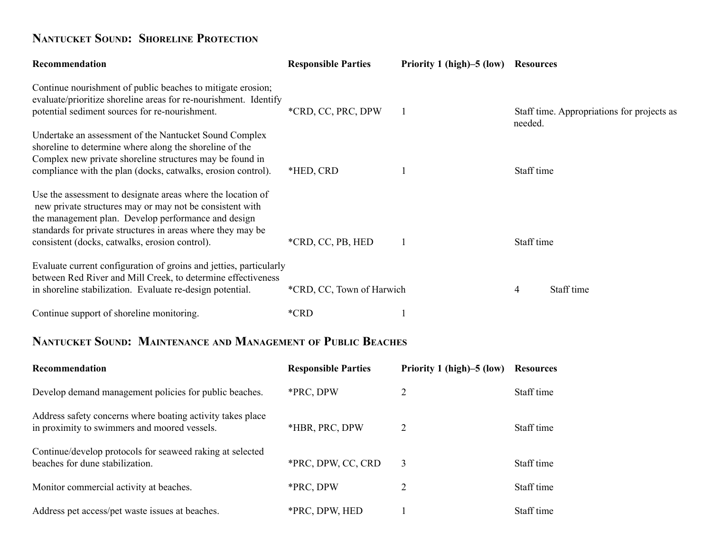# NANTUCKET SOUND: SHORELINE PROTECTION

| Recommendation                                                                                                                                                                                                                                                                                  | <b>Responsible Parties</b> | Priority 1 (high)–5 (low) Resources |                                                       |
|-------------------------------------------------------------------------------------------------------------------------------------------------------------------------------------------------------------------------------------------------------------------------------------------------|----------------------------|-------------------------------------|-------------------------------------------------------|
| Continue nourishment of public beaches to mitigate erosion;<br>evaluate/prioritize shoreline areas for re-nourishment. Identify<br>potential sediment sources for re-nourishment.                                                                                                               | *CRD, CC, PRC, DPW         | 1                                   | Staff time. Appropriations for projects as<br>needed. |
| Undertake an assessment of the Nantucket Sound Complex<br>shoreline to determine where along the shoreline of the<br>Complex new private shoreline structures may be found in<br>compliance with the plan (docks, catwalks, erosion control).                                                   | *HED, CRD                  | $\mathbf{1}$                        | Staff time                                            |
| Use the assessment to designate areas where the location of<br>new private structures may or may not be consistent with<br>the management plan. Develop performance and design<br>standards for private structures in areas where they may be<br>consistent (docks, catwalks, erosion control). | *CRD, CC, PB, HED          | $\mathbf{1}$                        | Staff time                                            |
| Evaluate current configuration of groins and jetties, particularly<br>between Red River and Mill Creek, to determine effectiveness<br>in shoreline stabilization. Evaluate re-design potential.                                                                                                 | *CRD, CC, Town of Harwich  |                                     | Staff time<br>4                                       |
| Continue support of shoreline monitoring.                                                                                                                                                                                                                                                       | *CRD                       | $\mathbf{1}$                        |                                                       |
| NANTUCKET SOUND: MAINTENANCE AND MANAGEMENT OF PUBLIC BEACHES                                                                                                                                                                                                                                   |                            |                                     |                                                       |
| Recommendation                                                                                                                                                                                                                                                                                  | <b>Responsible Parties</b> | Priority 1 (high)–5 (low)           | <b>Resources</b>                                      |
| Develop demand management policies for public beaches.                                                                                                                                                                                                                                          | *PRC, DPW                  | $\overline{2}$                      | Staff time                                            |
| Address safety concerns where boating activity takes place<br>in proximity to swimmers and moored vessels.                                                                                                                                                                                      | *HBR, PRC, DPW             | 2                                   | Staff time                                            |
| Continue/develop protocols for seaweed raking at selected<br>beaches for dune stabilization.                                                                                                                                                                                                    | *PRC, DPW, CC, CRD         | 3                                   | Staff time                                            |
| Monitor commercial activity at beaches.                                                                                                                                                                                                                                                         | *PRC, DPW                  | 2                                   | Staff time                                            |
| Address pet access/pet waste issues at beaches.                                                                                                                                                                                                                                                 | *PRC, DPW, HED             | $\mathbf{1}$                        | Staff time                                            |